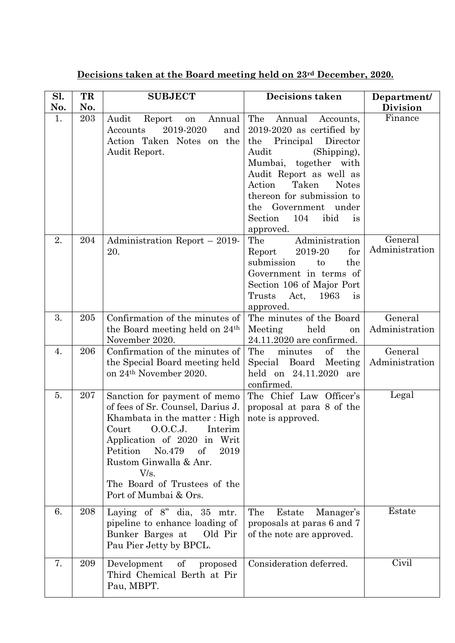| Decisions taken at the Board meeting held on 23rd December, 2020. |
|-------------------------------------------------------------------|
|-------------------------------------------------------------------|

| Sl.<br>No. | TR<br>No. | <b>SUBJECT</b>                                                                                                                                                                                                                                                                            | <b>Decisions taken</b>                                                                                                                                                                                                                                                                                     | Department/<br><b>Division</b> |
|------------|-----------|-------------------------------------------------------------------------------------------------------------------------------------------------------------------------------------------------------------------------------------------------------------------------------------------|------------------------------------------------------------------------------------------------------------------------------------------------------------------------------------------------------------------------------------------------------------------------------------------------------------|--------------------------------|
| 1.         | 203       | Audit<br>Report<br>Annual<br>on<br>2019-2020<br>Accounts<br>and<br>Action Taken Notes on the<br>Audit Report.                                                                                                                                                                             | The<br>Annual<br>Accounts,<br>$2019-2020$ as certified by<br>the Principal<br>Director<br>Audit<br>(Shipping),<br>Mumbai, together with<br>Audit Report as well as<br>Taken<br>Action<br><b>Notes</b><br>thereon for submission to<br>Government under<br>the<br>Section<br>104<br>ibid<br>is<br>approved. | Finance                        |
| 2.         | 204       | Administration Report - 2019-<br>20.                                                                                                                                                                                                                                                      | Administration<br>The<br>for<br>Report<br>2019-20<br>submission<br>the<br>to<br>Government in terms of<br>Section 106 of Major Port<br>Trusts<br>Act,<br>1963<br>is<br>approved.                                                                                                                           | General<br>Administration      |
| 3.         | 205       | Confirmation of the minutes of<br>the Board meeting held on 24 <sup>th</sup><br>November 2020.                                                                                                                                                                                            | The minutes of the Board<br>Meeting<br>held<br>on<br>24.11.2020 are confirmed.                                                                                                                                                                                                                             | General<br>Administration      |
| 4.         | 206       | Confirmation of the minutes of<br>the Special Board meeting held<br>on 24 <sup>th</sup> November 2020.                                                                                                                                                                                    | The<br>of<br>minutes<br>the<br>Special Board Meeting<br>held on 24.11.2020 are<br>confirmed.                                                                                                                                                                                                               | General<br>Administration      |
| 5.         | 207       | Sanction for payment of memo<br>of fees of Sr. Counsel, Darius J.<br>Khambata in the matter: High<br>Court O.O.C.J. Interim<br>Application of 2020 in Writ<br>No.479<br>Petition<br>of<br>2019<br>Rustom Ginwalla & Anr.<br>V/s.<br>The Board of Trustees of the<br>Port of Mumbai & Ors. | The Chief Law Officer's<br>proposal at para 8 of the<br>note is approved.                                                                                                                                                                                                                                  | Legal                          |
| 6.         | 208       | Laying of 8" dia, 35 mtr.<br>pipeline to enhance loading of<br>Bunker Barges at<br>Old Pir<br>Pau Pier Jetty by BPCL.                                                                                                                                                                     | The<br>Estate<br>Manager's<br>proposals at paras 6 and 7<br>of the note are approved.                                                                                                                                                                                                                      | Estate                         |
| 7.         | 209       | Development<br>of<br>proposed<br>Third Chemical Berth at Pir<br>Pau, MBPT.                                                                                                                                                                                                                | Consideration deferred.                                                                                                                                                                                                                                                                                    | Civil                          |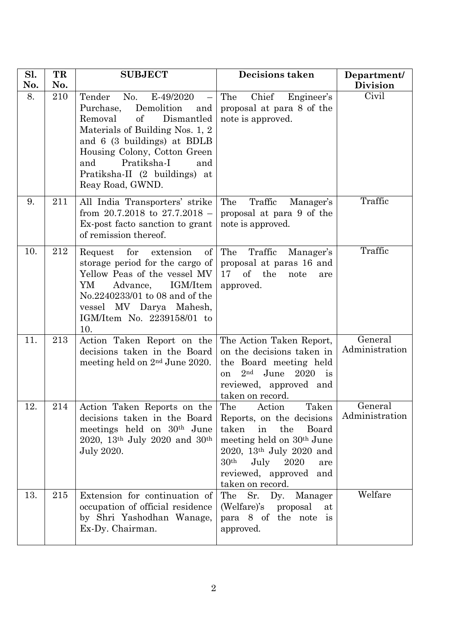| Sl.<br>No. | TR<br>No. | <b>SUBJECT</b>                                                                                                                                                                                                                                                                                                | <b>Decisions taken</b>                                                                                                                                                                                           | Department/<br><b>Division</b> |
|------------|-----------|---------------------------------------------------------------------------------------------------------------------------------------------------------------------------------------------------------------------------------------------------------------------------------------------------------------|------------------------------------------------------------------------------------------------------------------------------------------------------------------------------------------------------------------|--------------------------------|
| 8.         | 210       | $E-49/2020$<br>Tender<br>No.<br>$\overline{\phantom{m}}$<br>Demolition<br>Purchase,<br>and<br>Removal<br>of<br>Dismantled<br>Materials of Building Nos. 1, 2<br>and 6 (3 buildings) at BDLB<br>Housing Colony, Cotton Green<br>Pratiksha-I<br>and<br>and<br>Pratiksha-II (2 buildings) at<br>Reay Road, GWND. | Chief<br>The<br>Engineer's<br>proposal at para 8 of the<br>note is approved.                                                                                                                                     | Civil                          |
| 9.         | 211       | All India Transporters' strike<br>from $20.7.2018$ to $27.7.2018$ -<br>Ex-post facto sanction to grant<br>of remission thereof.                                                                                                                                                                               | The<br>Traffic<br>Manager's<br>proposal at para 9 of the<br>note is approved.                                                                                                                                    | Traffic                        |
| 10.        | 212       | for extension<br>Request<br>of<br>storage period for the cargo of<br>Yellow Peas of the vessel MV<br>IGM/Item<br>YM<br>Advance,<br>No.2240233/01 to 08 and of the<br>vessel MV Darya Mahesh,<br>IGM/Item No. 2239158/01 to<br>10.                                                                             | The<br>Traffic<br>Manager's<br>proposal at paras 16 and<br>of the<br>17<br>note<br>are<br>approved.                                                                                                              | Traffic                        |
| 11.        | 213       | Action Taken Report on the<br>decisions taken in the Board<br>meeting held on $2nd$ June 2020.                                                                                                                                                                                                                | The Action Taken Report,<br>on the decisions taken in<br>the Board meeting held<br>2 <sub>nd</sub><br>June<br>$2020$ is<br>on<br>reviewed, approved and<br>taken on record.                                      | General<br>Administration      |
| 12         | 214       | Action Taken Reports on the<br>decisions taken in the Board Reports, on the decisions<br>meetings held on 30 <sup>th</sup> June<br>2020, 13 <sup>th</sup> July 2020 and 30 <sup>th</sup><br>July 2020.                                                                                                        | The<br>Taken<br>Action<br>taken<br>the<br>Board<br>in<br>meeting held on 30 <sup>th</sup> June<br>2020, 13th July 2020 and<br>30 <sup>th</sup><br>July 2020<br>are<br>reviewed, approved and<br>taken on record. | General<br>Administration      |
| 13.        | 215       | Extension for continuation of<br>occupation of official residence<br>by Shri Yashodhan Wanage,<br>Ex-Dy. Chairman.                                                                                                                                                                                            | The Sr. Dy. Manager<br>(Welfare)'s proposal<br>at<br>para 8 of the note is<br>approved.                                                                                                                          | Welfare                        |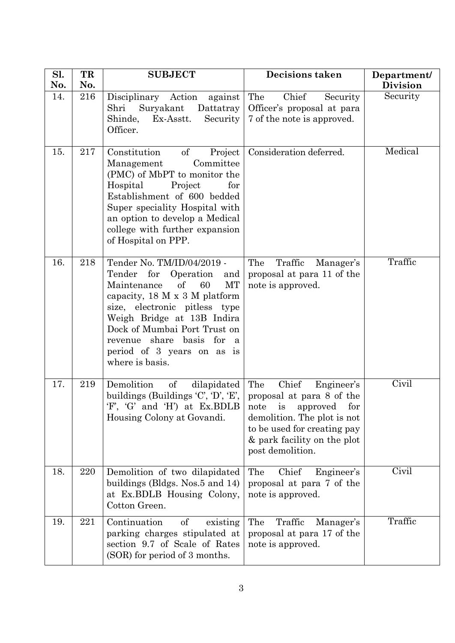| Sl. | TR  | <b>SUBJECT</b>                                                                                                                                                                                                                                                                                                            | Decisions taken                                                                                                                                    | Department/     |
|-----|-----|---------------------------------------------------------------------------------------------------------------------------------------------------------------------------------------------------------------------------------------------------------------------------------------------------------------------------|----------------------------------------------------------------------------------------------------------------------------------------------------|-----------------|
| No. | No. |                                                                                                                                                                                                                                                                                                                           |                                                                                                                                                    | <b>Division</b> |
| 14. | 216 | Disciplinary Action<br>against<br>Shri<br>Suryakant Dattatray<br>Ex-Asstt.<br>Shinde,<br>Security<br>Officer.                                                                                                                                                                                                             | Chief<br>The<br>Security<br>Officer's proposal at para<br>7 of the note is approved.                                                               | Security        |
| 15. | 217 | $\sigma f$<br>Constitution<br>Project<br>Committee<br>Management<br>(PMC) of MbPT to monitor the<br>Project<br>Hospital<br>for<br>Establishment of 600 bedded<br>Super speciality Hospital with<br>an option to develop a Medical<br>college with further expansion<br>of Hospital on PPP.                                | Consideration deferred.                                                                                                                            | Medical         |
| 16. | 218 | Tender No. TM/ID/04/2019 -<br>Tender for<br>Operation<br>and<br>Maintenance<br>of<br>60<br>МT<br>capacity, 18 M x 3 M platform<br>size, electronic pitless type<br>Weigh Bridge at 13B Indira<br>Dock of Mumbai Port Trust on<br>revenue share basis for<br><sub>a</sub><br>period of 3 years on as is<br>where is basis. | The<br>Traffic<br>Manager's<br>proposal at para 11 of the<br>note is approved.                                                                     | Traffic         |
| 17. | 219 | Demolition<br>dilapidated<br>$\sigma f$<br>buildings (Buildings 'C', 'D', 'E',   proposal at para 8 of the<br>'F', 'G' and 'H') at Ex.BDLB   note is approved<br>Housing Colony at Govandi.                                                                                                                               | The<br>Chief<br>Engineer's<br>for<br>demolition. The plot is not<br>to be used for creating pay<br>& park facility on the plot<br>post demolition. | Civil           |
| 18. | 220 | Demolition of two dilapidated<br>buildings (Bldgs. Nos.5 and 14)<br>at Ex.BDLB Housing Colony,<br>Cotton Green.                                                                                                                                                                                                           | The<br>Chief<br>Engineer's<br>proposal at para 7 of the<br>note is approved.                                                                       | Civil           |
| 19. | 221 | Continuation<br>of<br>existing<br>parking charges stipulated at<br>section 9.7 of Scale of Rates<br>(SOR) for period of 3 months.                                                                                                                                                                                         | The<br>Traffic<br>Manager's<br>proposal at para 17 of the<br>note is approved.                                                                     | Traffic         |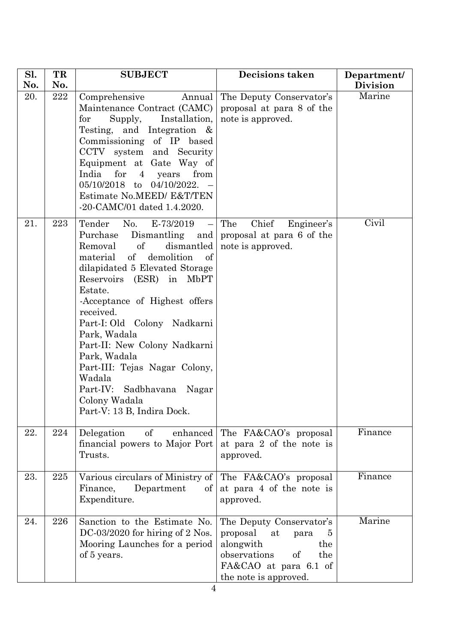| Sl.<br>No. | TR<br>No. | <b>SUBJECT</b>                                                                                                                                                                                                                                                                                                                                                                                                                                                                                      | <b>Decisions taken</b>                                                                                                                                     | Department/<br><b>Division</b> |
|------------|-----------|-----------------------------------------------------------------------------------------------------------------------------------------------------------------------------------------------------------------------------------------------------------------------------------------------------------------------------------------------------------------------------------------------------------------------------------------------------------------------------------------------------|------------------------------------------------------------------------------------------------------------------------------------------------------------|--------------------------------|
| 20.        | $222\,$   | Comprehensive<br>Annual<br>Maintenance Contract (CAMC)<br>${\rm for}$<br>Supply,<br>Installation,<br>Testing, and Integration $\&$<br>Commissioning of IP based<br>CCTV system and Security<br>Equipment at Gate Way of<br>India for<br>$\overline{4}$<br>years<br>from<br>05/10/2018 to 04/10/2022.<br>Estimate No.MEED/ E&T/TEN<br>-20-CAMC/01 dated 1.4.2020.                                                                                                                                    | The Deputy Conservator's<br>proposal at para 8 of the<br>note is approved.                                                                                 | Marine                         |
| 21.        | 223       | Tender<br>No. E-73/2019<br>$\leftarrow$<br>Purchase<br>Dismantling and<br>Removal<br>of<br>dismantled<br>$\sigma f$<br>of<br>demolition<br>material<br>dilapidated 5 Elevated Storage<br>Reservoirs (ESR) in MbPT<br>Estate.<br>-Acceptance of Highest offers<br>received.<br>Part-I: Old Colony Nadkarni<br>Park, Wadala<br>Part-II: New Colony Nadkarni<br>Park, Wadala<br>Part-III: Tejas Nagar Colony,<br>Wadala<br>Part-IV: Sadbhavana<br>Nagar<br>Colony Wadala<br>Part-V: 13 B, Indira Dock. | Chief<br>The<br>Engineer's<br>proposal at para 6 of the<br>note is approved.                                                                               | Civil                          |
| 22.        | 224       | of<br>Delegation<br>enhanced<br>financial powers to Major Port<br>Trusts.                                                                                                                                                                                                                                                                                                                                                                                                                           | The FA&CAO's proposal<br>at para 2 of the note is<br>approved.                                                                                             | Finance                        |
| 23.        | 225       | Various circulars of Ministry of<br>Department<br>Finance,<br>of<br>Expenditure.                                                                                                                                                                                                                                                                                                                                                                                                                    | The FA&CAO's proposal<br>at para 4 of the note is<br>approved.                                                                                             | Finance                        |
| 24.        | 226       | Sanction to the Estimate No.<br>$DC-03/2020$ for hiring of 2 Nos.<br>Mooring Launches for a period<br>of 5 years.                                                                                                                                                                                                                                                                                                                                                                                   | The Deputy Conservator's<br>proposal<br>at<br>para<br>5<br>alongwith<br>the<br>observations<br>of<br>the<br>FA&CAO at para 6.1 of<br>the note is approved. | Marine                         |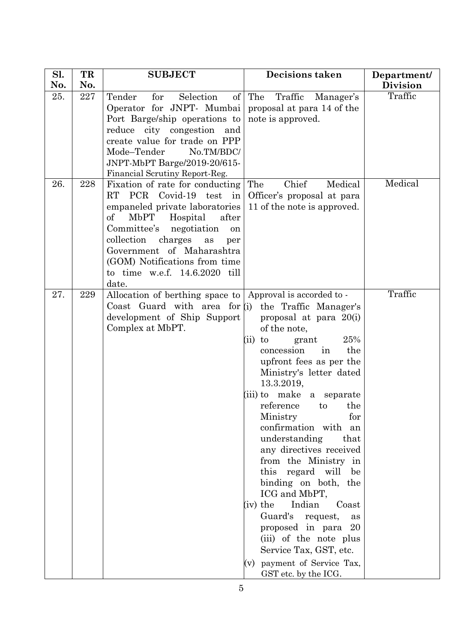| Sl.        | TR  | <b>SUBJECT</b>                                                                                                                                                                                                                                                                                                                     | <b>Decisions taken</b>                                                                                                                                                                                                                                                                                                                                                                                                                                                                                                                                                                                                                     | Department/        |
|------------|-----|------------------------------------------------------------------------------------------------------------------------------------------------------------------------------------------------------------------------------------------------------------------------------------------------------------------------------------|--------------------------------------------------------------------------------------------------------------------------------------------------------------------------------------------------------------------------------------------------------------------------------------------------------------------------------------------------------------------------------------------------------------------------------------------------------------------------------------------------------------------------------------------------------------------------------------------------------------------------------------------|--------------------|
| No.        | No. |                                                                                                                                                                                                                                                                                                                                    |                                                                                                                                                                                                                                                                                                                                                                                                                                                                                                                                                                                                                                            | <b>Division</b>    |
| 25.<br>26. | 227 | Tender<br>for<br>Selection<br>Operator for JNPT- Mumbai<br>Port Barge/ship operations to note is approved.<br>reduce city congestion and<br>create value for trade on PPP<br>Mode-Tender<br>No.TM/BDC/<br>JNPT-MbPT Barge/2019-20/615-<br>Financial Scrutiny Report-Reg.                                                           | of $\vert$ The<br>Traffic<br>Manager's<br>proposal at para 14 of the                                                                                                                                                                                                                                                                                                                                                                                                                                                                                                                                                                       | Traffic<br>Medical |
|            | 228 | Fixation of rate for conducting<br>RT<br>PCR Covid-19 test<br>in<br>empaneled private laboratories<br>$\mathrm{of}$<br>MbPT<br>after<br>Hospital<br>Committee's<br>negotiation<br>on<br>collection<br>charges<br>as<br>per<br>Government of Maharashtra<br>(GOM) Notifications from time<br>to time w.e.f. 14.6.2020 till<br>date. | Chief<br>The<br>Medical<br>Officer's proposal at para<br>11 of the note is approved.                                                                                                                                                                                                                                                                                                                                                                                                                                                                                                                                                       |                    |
| 27.        | 229 | Allocation of berthing space to   Approval is accorded to -<br>Coast Guard with area for $(i)$<br>development of Ship Support<br>Complex at MbPT.                                                                                                                                                                                  | the Traffic Manager's<br>proposal at para 20(i)<br>of the note,<br>25%<br>(ii)<br>to<br>grant<br>concession<br>the<br>in<br>upfront fees as per the<br>Ministry's letter dated<br>13.3.2019,<br>(iii) to make a separate<br>reference<br>the<br>to<br>Ministry<br>for<br>confirmation with an<br>understanding<br>that<br>any directives received<br>from the Ministry in<br>this regard will<br>be<br>binding on both, the<br>ICG and MbPT,<br>(iv) the<br>Indian<br>Coast<br>Guard's request,<br>as<br>proposed in para 20<br>(iii) of the note plus<br>Service Tax, GST, etc.<br>payment of Service Tax,<br>(v)<br>GST etc. by the ICG. | Traffic            |